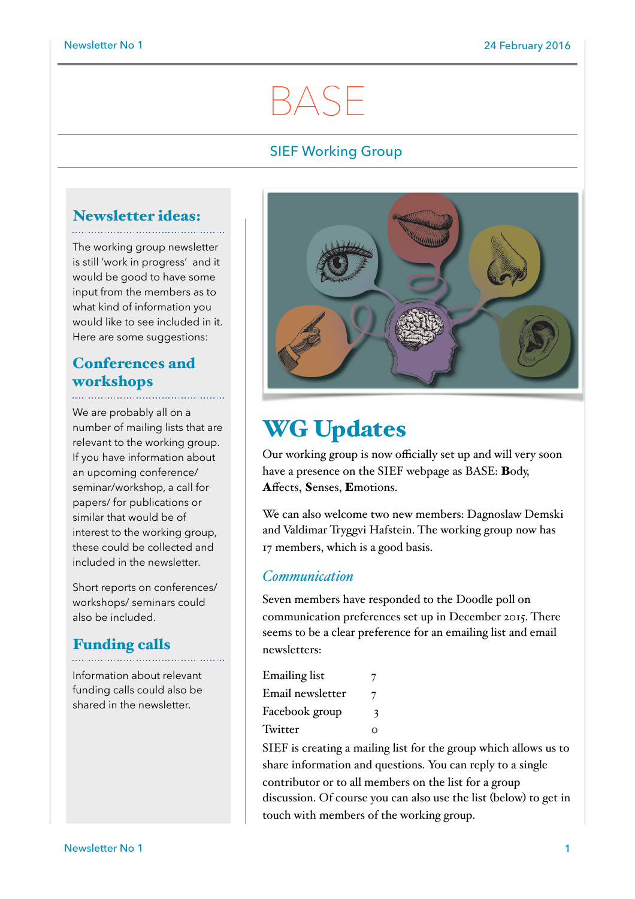# BASE

## SIEF Working Group

## Newsletter ideas:

The working group newsletter is still 'work in progress' and it would be good to have some input from the members as to what kind of information you would like to see included in it. Here are some suggestions:

## Conferences and workshops

We are probably all on a number of mailing lists that are relevant to the working group. If you have information about an upcoming conference/ seminar/workshop, a call for papers/ for publications or similar that would be of interest to the working group, these could be collected and included in the newsletter.

Short reports on conferences/ workshops/ seminars could also be included.

## Funding calls

Information about relevant funding calls could also be shared in the newsletter.



## WG Updates

Our working group is now officially set up and will very soon have a presence on the SIEF webpage as BASE: Body, Affects, Senses, Emotions.

We can also welcome two new members: Dagnoslaw Demski and Valdimar Tryggvi Hafstein. The working group now has 17 members, which is a good basis.

## *Communication*

Seven members have responded to the Doodle poll on communication preferences set up in December 2015. There seems to be a clear preference for an emailing list and email newsletters:

Emailing list 7 Email newsletter 7 Facebook group 3 Twitter o

SIEF is creating a mailing list for the group which allows us to share information and questions. You can reply to a single contributor or to all members on the list for a group discussion. Of course you can also use the list (below) to get in touch with members of the working group.